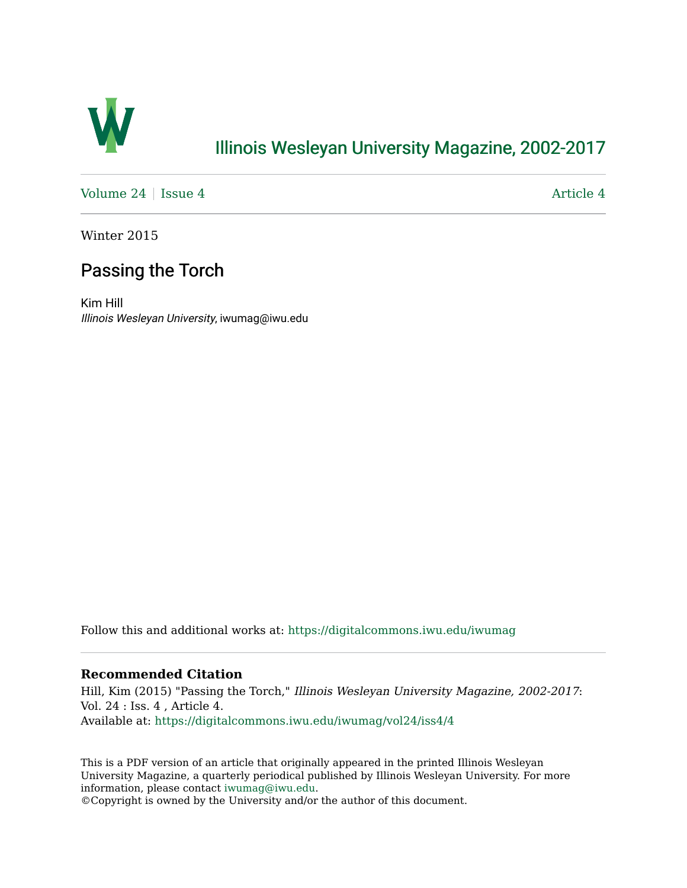

## [Illinois Wesleyan University Magazine, 2002-2017](https://digitalcommons.iwu.edu/iwumag)

[Volume 24](https://digitalcommons.iwu.edu/iwumag/vol24) | [Issue 4](https://digitalcommons.iwu.edu/iwumag/vol24/iss4)  $\blacksquare$ 

Winter 2015

## Passing the Torch

Kim Hill Illinois Wesleyan University, iwumag@iwu.edu

Follow this and additional works at: [https://digitalcommons.iwu.edu/iwumag](https://digitalcommons.iwu.edu/iwumag?utm_source=digitalcommons.iwu.edu%2Fiwumag%2Fvol24%2Fiss4%2F4&utm_medium=PDF&utm_campaign=PDFCoverPages) 

#### **Recommended Citation**

Hill, Kim (2015) "Passing the Torch," Illinois Wesleyan University Magazine, 2002-2017: Vol. 24 : Iss. 4 , Article 4. Available at: [https://digitalcommons.iwu.edu/iwumag/vol24/iss4/4](https://digitalcommons.iwu.edu/iwumag/vol24/iss4/4?utm_source=digitalcommons.iwu.edu%2Fiwumag%2Fvol24%2Fiss4%2F4&utm_medium=PDF&utm_campaign=PDFCoverPages)

This is a PDF version of an article that originally appeared in the printed Illinois Wesleyan University Magazine, a quarterly periodical published by Illinois Wesleyan University. For more information, please contact [iwumag@iwu.edu](mailto:iwumag@iwu.edu).

©Copyright is owned by the University and/or the author of this document.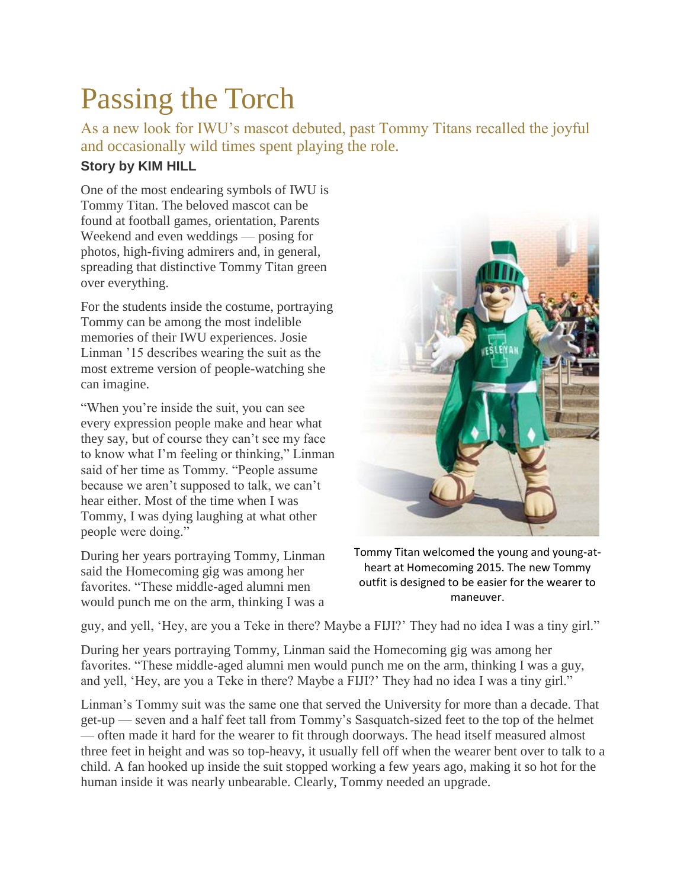# Passing the Torch

As a new look for IWU's mascot debuted, past Tommy Titans recalled the joyful and occasionally wild times spent playing the role.

### **Story by KIM HILL**

One of the most endearing symbols of IWU is Tommy Titan. The beloved mascot can be found at football games, orientation, Parents Weekend and even weddings — posing for photos, high-fiving admirers and, in general, spreading that distinctive Tommy Titan green over everything.

For the students inside the costume, portraying Tommy can be among the most indelible memories of their IWU experiences. Josie Linman '15 describes wearing the suit as the most extreme version of people-watching she can imagine.

"When you're inside the suit, you can see every expression people make and hear what they say, but of course they can't see my face to know what I'm feeling or thinking," Linman said of her time as Tommy. "People assume because we aren't supposed to talk, we can't hear either. Most of the time when I was Tommy, I was dying laughing at what other people were doing."

During her years portraying Tommy, Linman said the Homecoming gig was among her favorites. "These middle-aged alumni men would punch me on the arm, thinking I was a



Tommy Titan welcomed the young and young-atheart at Homecoming 2015. The new Tommy outfit is designed to be easier for the wearer to maneuver.

guy, and yell, 'Hey, are you a Teke in there? Maybe a FIJI?' They had no idea I was a tiny girl."

During her years portraying Tommy, Linman said the Homecoming gig was among her favorites. "These middle-aged alumni men would punch me on the arm, thinking I was a guy, and yell, 'Hey, are you a Teke in there? Maybe a FIJI?' They had no idea I was a tiny girl."

Linman's Tommy suit was the same one that served the University for more than a decade. That get-up — seven and a half feet tall from Tommy's Sasquatch-sized feet to the top of the helmet — often made it hard for the wearer to fit through doorways. The head itself measured almost three feet in height and was so top-heavy, it usually fell off when the wearer bent over to talk to a child. A fan hooked up inside the suit stopped working a few years ago, making it so hot for the human inside it was nearly unbearable. Clearly, Tommy needed an upgrade.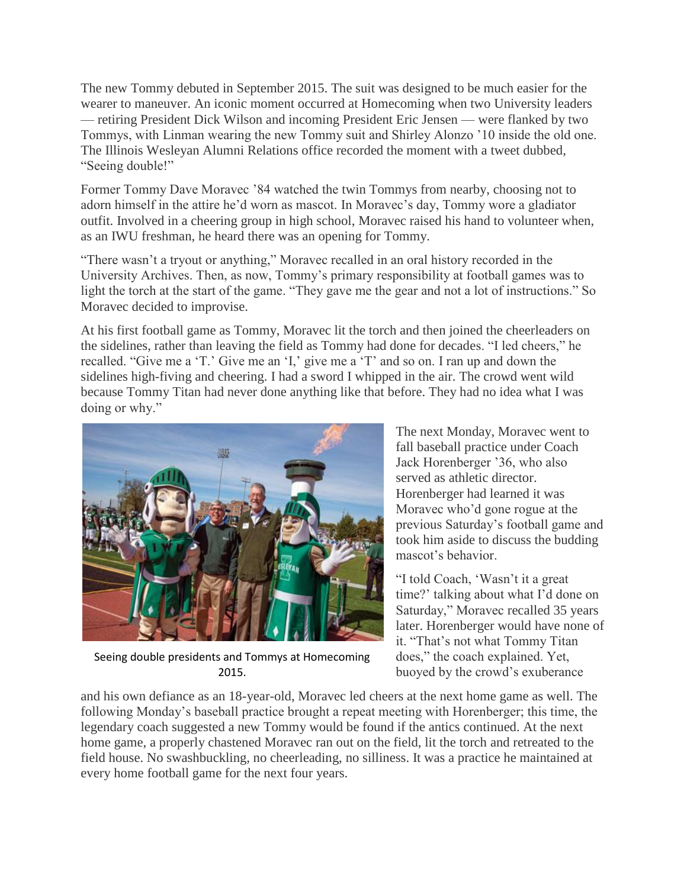The new Tommy debuted in September 2015. The suit was designed to be much easier for the wearer to maneuver. An iconic moment occurred at Homecoming when two University leaders — retiring President Dick Wilson and incoming President Eric Jensen — were flanked by two Tommys, with Linman wearing the new Tommy suit and Shirley Alonzo '10 inside the old one. The Illinois Wesleyan Alumni Relations office recorded the moment with a tweet dubbed, "Seeing double!"

Former Tommy Dave Moravec '84 watched the twin Tommys from nearby, choosing not to adorn himself in the attire he'd worn as mascot. In Moravec's day, Tommy wore a gladiator outfit. Involved in a cheering group in high school, Moravec raised his hand to volunteer when, as an IWU freshman, he heard there was an opening for Tommy.

"There wasn't a tryout or anything," Moravec recalled in an oral history recorded in the University Archives. Then, as now, Tommy's primary responsibility at football games was to light the torch at the start of the game. "They gave me the gear and not a lot of instructions." So Moravec decided to improvise.

At his first football game as Tommy, Moravec lit the torch and then joined the cheerleaders on the sidelines, rather than leaving the field as Tommy had done for decades. "I led cheers," he recalled. "Give me a 'T.' Give me an 'I,' give me a 'T' and so on. I ran up and down the sidelines high-fiving and cheering. I had a sword I whipped in the air. The crowd went wild because Tommy Titan had never done anything like that before. They had no idea what I was doing or why."



Seeing double presidents and Tommys at Homecoming 2015.

The next Monday, Moravec went to fall baseball practice under Coach Jack Horenberger '36, who also served as athletic director. Horenberger had learned it was Moravec who'd gone rogue at the previous Saturday's football game and took him aside to discuss the budding mascot's behavior.

"I told Coach, 'Wasn't it a great time?' talking about what I'd done on Saturday," Moravec recalled 35 years later. Horenberger would have none of it. "That's not what Tommy Titan does," the coach explained. Yet, buoyed by the crowd's exuberance

and his own defiance as an 18-year-old, Moravec led cheers at the next home game as well. The following Monday's baseball practice brought a repeat meeting with Horenberger; this time, the legendary coach suggested a new Tommy would be found if the antics continued. At the next home game, a properly chastened Moravec ran out on the field, lit the torch and retreated to the field house. No swashbuckling, no cheerleading, no silliness. It was a practice he maintained at every home football game for the next four years.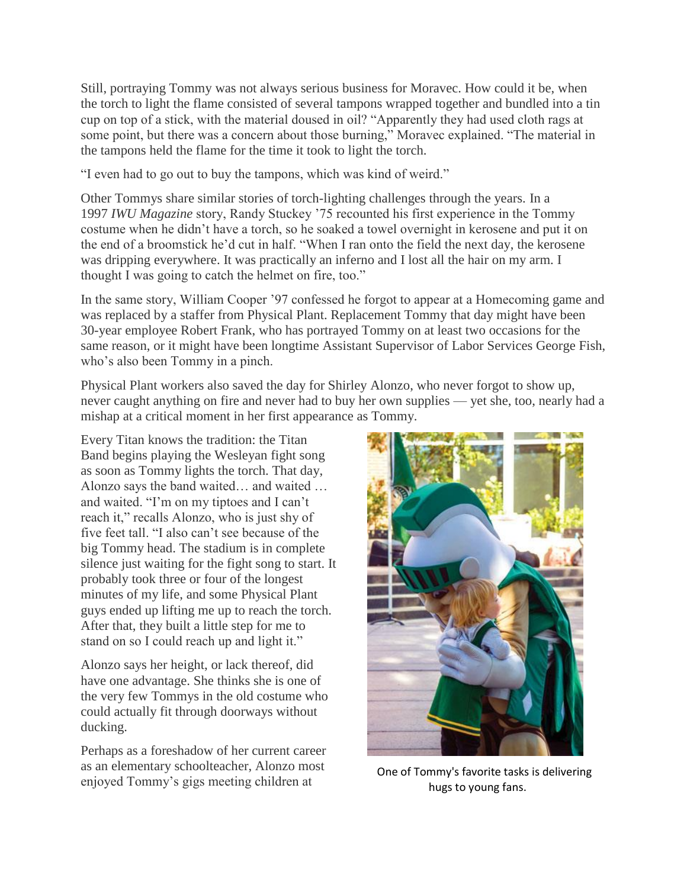Still, portraying Tommy was not always serious business for Moravec. How could it be, when the torch to light the flame consisted of several tampons wrapped together and bundled into a tin cup on top of a stick, with the material doused in oil? "Apparently they had used cloth rags at some point, but there was a concern about those burning," Moravec explained. "The material in the tampons held the flame for the time it took to light the torch.

"I even had to go out to buy the tampons, which was kind of weird."

Other Tommys share similar stories of torch-lighting challenges through the years. In a 1997 *IWU Magazine* story, Randy Stuckey '75 recounted his first experience in the Tommy costume when he didn't have a torch, so he soaked a towel overnight in kerosene and put it on the end of a broomstick he'd cut in half. "When I ran onto the field the next day, the kerosene was dripping everywhere. It was practically an inferno and I lost all the hair on my arm. I thought I was going to catch the helmet on fire, too."

In the same story, William Cooper '97 confessed he forgot to appear at a Homecoming game and was replaced by a staffer from Physical Plant. Replacement Tommy that day might have been 30-year employee Robert Frank, who has portrayed Tommy on at least two occasions for the same reason, or it might have been longtime Assistant Supervisor of Labor Services George Fish, who's also been Tommy in a pinch.

Physical Plant workers also saved the day for Shirley Alonzo, who never forgot to show up, never caught anything on fire and never had to buy her own supplies — yet she, too, nearly had a mishap at a critical moment in her first appearance as Tommy.

Every Titan knows the tradition: the Titan Band begins playing the Wesleyan fight song as soon as Tommy lights the torch. That day, Alonzo says the band waited… and waited … and waited. "I'm on my tiptoes and I can't reach it," recalls Alonzo, who is just shy of five feet tall. "I also can't see because of the big Tommy head. The stadium is in complete silence just waiting for the fight song to start. It probably took three or four of the longest minutes of my life, and some Physical Plant guys ended up lifting me up to reach the torch. After that, they built a little step for me to stand on so I could reach up and light it."

Alonzo says her height, or lack thereof, did have one advantage. She thinks she is one of the very few Tommys in the old costume who could actually fit through doorways without ducking.

Perhaps as a foreshadow of her current career as an elementary schoolteacher, Alonzo most enjoyed Tommy's gigs meeting children at



 One of Tommy's favorite tasks is delivering hugs to young fans.